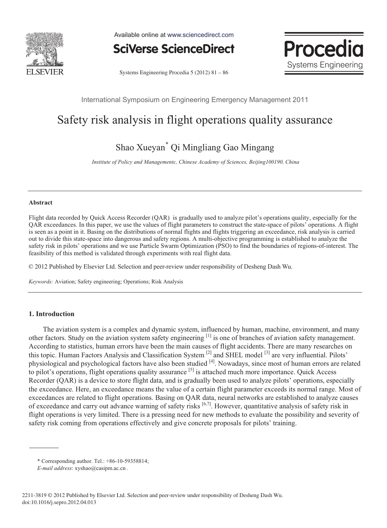

Available online at www.sciencedirect.com



Procedi Systems Engineering

Systems Engineering Procedia 5 (2012) 81 – 86

International Symposium on Engineering Emergency Management 2011

# Safety risk analysis in flight operations quality assurance

# Shao Xueyan\* Qi Mingliang Gao Mingang

*Institute of Policy and Managementc, Chinese Academy of Sciences, Beijing100190, China*

#### **Abstract**

Flight data recorded by Quick Access Recorder (QAR) is gradually used to analyze pilot's operations quality, especially for the QAR exceedances. In this paper, we use the values of flight parameters to construct the state-space of pilots' operations. A flight is seen as a point in it. Basing on the distributions of normal flights and flights triggering an exceedance, risk analysis is carried out to divide this state-space into dangerous and safety regions. A multi-objective programming is established to analyze the safety risk in pilots' operations and we use Particle Swarm Optimization (PSO) to find the boundaries of regions-of-interest. The feasibility of this method is validated through experiments with real flight data.

© 2011 Published by Elsevier Ltd. Selection and peer-review under responsibility of Desheng Dash Wu © 2012 Published by Elsevier Ltd. Selection and peer-review under responsibility of Desheng Dash Wu.

*Keywords:* Aviation; Safety engineering; Operations; Risk Analysis

## **1. Introduction**

The aviation system is a complex and dynamic system, influenced by human, machine, environment, and many other factors. Study on the aviation system safety engineering [1] is one of branches of aviation safety management. According to statistics, human errors have been the main causes of flight accidents. There are many researches on this topic. Human Factors Analysis and Classification System <sup>[2]</sup> and SHEL model <sup>[3]</sup> are very influential. Pilots' physiological and psychological factors have also been studied [4]. Nowadays, since most of human errors are related to pilot's operations, flight operations quality assurance [5] is attached much more importance. Quick Access Recorder (QAR) is a device to store flight data, and is gradually been used to analyze pilots' operations, especially the exceedance. Here, an exceedance means the value of a certain flight parameter exceeds its normal range. Most of exceedances are related to flight operations. Basing on QAR data, neural networks are established to analyze causes of exceedance and carry out advance warning of safety risks [6,7]. However, quantitative analysis of safety risk in flight operations is very limited. There is a pressing need for new methods to evaluate the possibility and severity of safety risk coming from operations effectively and give concrete proposals for pilots' training.

<sup>\*</sup> Corresponding author. Tel.: +86-10-59358814;

*E-mail address*: xyshao@casipm.ac.cn .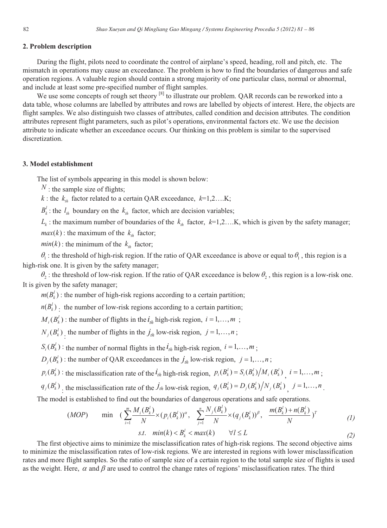### **2. Problem description**

During the flight, pilots need to coordinate the control of airplane's speed, heading, roll and pitch, etc. The mismatch in operations may cause an exceedance. The problem is how to find the boundaries of dangerous and safe operation regions. A valuable region should contain a strong majority of one particular class, normal or abnormal, and include at least some pre-specified number of flight samples.

We use some concepts of rough set theory  $^{[8]}$  to illustrate our problem. OAR records can be reworked into a data table, whose columns are labelled by attributes and rows are labelled by objects of interest. Here, the objects are flight samples. We also distinguish two classes of attributes, called condition and decision attributes. The condition attributes represent flight parameters, such as pilot's operations, environmental factors etc. We use the decision attribute to indicate whether an exceedance occurs. Our thinking on this problem is similar to the supervised discretization.

### **3. Model establishment**

The list of symbols appearing in this model is shown below:

 $N$ : the sample size of flights;

 $k$  : the  $k<sub>th</sub>$  factor related to a certain QAR exceedance,  $k=1,2,...K$ ;

 $B_k^l$ : the  $l_{th}$  boundary on the  $k_{th}$  factor, which are decision variables;

 $L_k$ : the maximum number of boundaries of the  $k_{th}$  factor,  $k=1,2,...K$ , which is given by the safety manager;

 $max(k)$ : the maximum of the  $k_{th}$  factor;

 $min(k)$ : the minimum of the  $k<sub>th</sub>$  factor;

 $\theta_1$ : the threshold of high-risk region. If the ratio of QAR exceedance is above or equal to  $\theta_1$ , this region is a high-risk one. It is given by the safety manager;

 $\theta_2$ : the threshold of low-risk region. If the ratio of QAR exceedance is below  $\theta_2$ , this region is a low-risk one. It is given by the safety manager;

 $m(B_k^l)$ : the number of high-risk regions according to a certain partition;

 $n(B_k^l)$ : the number of low-risk regions according to a certain partition;

 $M_i(B_i^l)$ : the number of flights in the  $i_{th}$  high-risk region,  $i = 1, ..., m$ ;

 $N_j(B_k^l)$  the number of flights in the  $j_{th}$  low-risk region,  $j = 1, ..., n$ ;

 $S_i(B_k^l)$ : the number of normal flights in the  $\dot{t}_{th}$  high-risk region,  $i = 1, ..., m$ ;

 $D_i(B_k^i)$ : the number of QAR exceedances in the  $j_{th}$  low-risk region,  $j = 1, ..., n$ ;

 $p_i(B_k^l)$ : the misclassification rate of the  $i_{th}$  high-risk region,  $p_i(B_k^l) = S_i(B_k^l)/M_i(B_k^l)$ ,  $i = 1,...,m$ ;

 $q_j(B_k^j)$ , the misclassification rate of the  $\dot{J}_{th}$  low-risk region,  $q_j(B_k^l) = D_j(B_k^l)/N_j(B_k^l)$ ,  $j = 1,...,n$ .

The model is established to find out the boundaries of dangerous operations and safe operations.

(MOP) min 
$$
(\sum_{i=1}^{m} \frac{M_i(B_k^l)}{N} \times (p_i(B_k^l))^{\alpha}, \sum_{j=1}^{n} \frac{N_j(B_k^l)}{N} \times (q_j(B_k^l))^{\beta}, \frac{m(B_k^l) + n(B_k^l)}{N})^T
$$
  
\n*s.t.* min(k)  $\lt B_k^l \lt max(k)$   $\forall l \le L$  (2)

The first objective aims to minimize the misclassification rates of high-risk regions. The second objective aims to minimize the misclassification rates of low-risk regions. We are interested in regions with lower misclassification rates and more flight samples. So the ratio of sample size of a certain region to the total sample size of flights is used as the weight. Here,  $\alpha$  and  $\beta$  are used to control the change rates of regions' misclassification rates. The third